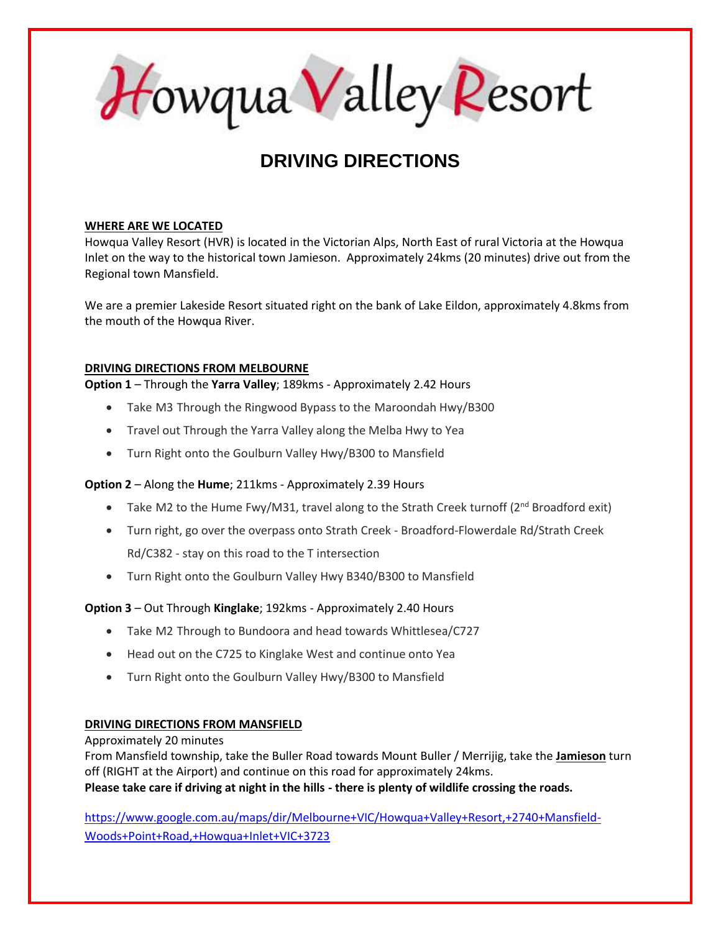Howqua Valley Resort

# **DRIVING DIRECTIONS**

### **WHERE ARE WE LOCATED**

Howqua Valley Resort (HVR) is located in the Victorian Alps, North East of rural Victoria at the Howqua Inlet on the way to the historical town Jamieson. Approximately 24kms (20 minutes) drive out from the Regional town Mansfield.

We are a premier Lakeside Resort situated right on the bank of Lake Eildon, approximately 4.8kms from the mouth of the Howqua River.

## **DRIVING DIRECTIONS FROM MELBOURNE**

**Option 1** – Through the **Yarra Valley**; 189kms - Approximately 2.42 Hours

- Take M3 Through the Ringwood Bypass to the Maroondah Hwy/B300
- Travel out Through the Yarra Valley along the Melba Hwy to Yea
- Turn Right onto the Goulburn Valley Hwy/B300 to Mansfield

## **Option 2** – Along the **Hume**; 211kms - Approximately 2.39 Hours

- Take M2 to the Hume Fwy/M31, travel along to the Strath Creek turnoff (2<sup>nd</sup> Broadford exit)
- Turn right, go over the overpass onto Strath Creek Broadford-Flowerdale Rd/Strath Creek Rd/C382 - stay on this road to the T intersection
- Turn Right onto the Goulburn Valley Hwy B340/B300 to Mansfield

## **Option 3** – Out Through **Kinglake**; 192kms - Approximately 2.40 Hours

- Take M2 Through to Bundoora and head towards Whittlesea/C727
- Head out on the C725 to Kinglake West and continue onto Yea
- Turn Right onto the Goulburn Valley Hwy/B300 to Mansfield

## **DRIVING DIRECTIONS FROM MANSFIELD**

### Approximately 20 minutes

From Mansfield township, take the Buller Road towards Mount Buller / Merrijig, take the **Jamieson** turn off (RIGHT at the Airport) and continue on this road for approximately 24kms. **Please take care if driving at night in the hills - there is plenty of wildlife crossing the roads.**

[https://www.google.com.au/maps/dir/Melbourne+VIC/Howqua+Valley+Resort,+2740+Mansfield-](https://www.google.com.au/maps/dir/Melbourne+VIC/Howqua+Valley+Resort,+2740+Mansfield-Woods+Point+Road,+Howqua+Inlet+VIC+3723)[Woods+Point+Road,+Howqua+Inlet+VIC+3723](https://www.google.com.au/maps/dir/Melbourne+VIC/Howqua+Valley+Resort,+2740+Mansfield-Woods+Point+Road,+Howqua+Inlet+VIC+3723)